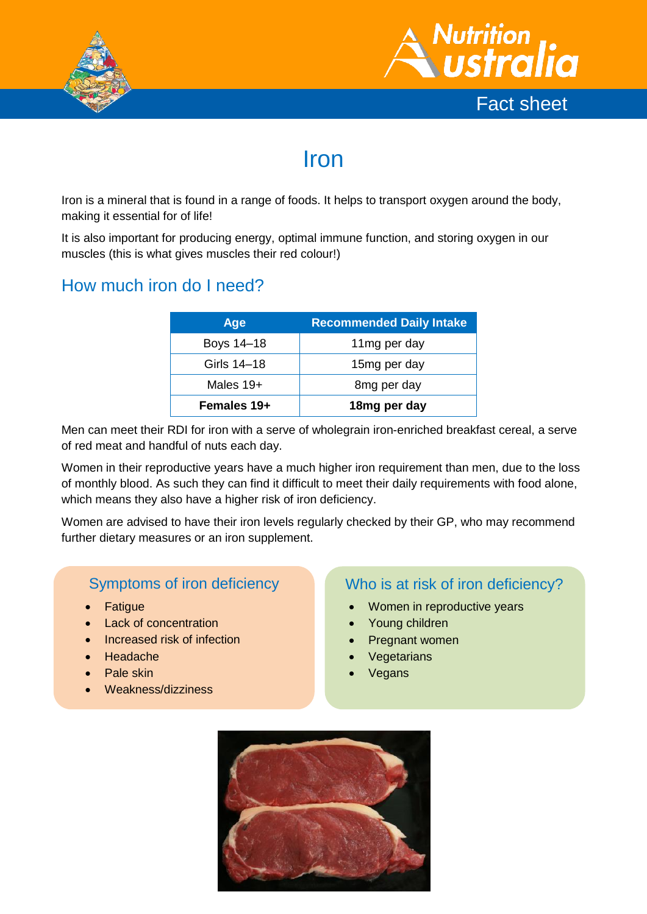



# Iron

Iron is a mineral that is found in a range of foods. It helps to transport oxygen around the body, making it essential for of life!

It is also important for producing energy, optimal immune function, and storing oxygen in our muscles (this is what gives muscles their red colour!)

## How much iron do I need?

| Age         | <b>Recommended Daily Intake</b> |  |
|-------------|---------------------------------|--|
| Boys 14-18  | 11mg per day                    |  |
| Girls 14–18 | 15mg per day                    |  |
| Males 19+   | 8 <sub>mg</sub> per day         |  |
| Females 19+ | 18mg per day                    |  |

Men can meet their RDI for iron with a serve of wholegrain iron-enriched breakfast cereal, a serve of red meat and handful of nuts each day.

Women in their reproductive years have a much higher iron requirement than men, due to the loss of monthly blood. As such they can find it difficult to meet their daily requirements with food alone, which means they also have a higher risk of iron deficiency.

Women are advised to have their iron levels regularly checked by their GP, who may recommend further dietary measures or an iron supplement.

### Symptoms of iron deficiency

- **Fatigue**
- Lack of concentration
- Increased risk of infection
- Headache
- Pale skin
- Weakness/dizziness

#### Who is at risk of iron deficiency?

- Women in reproductive years
- Young children
- Pregnant women
- **Vegetarians**
- Vegans